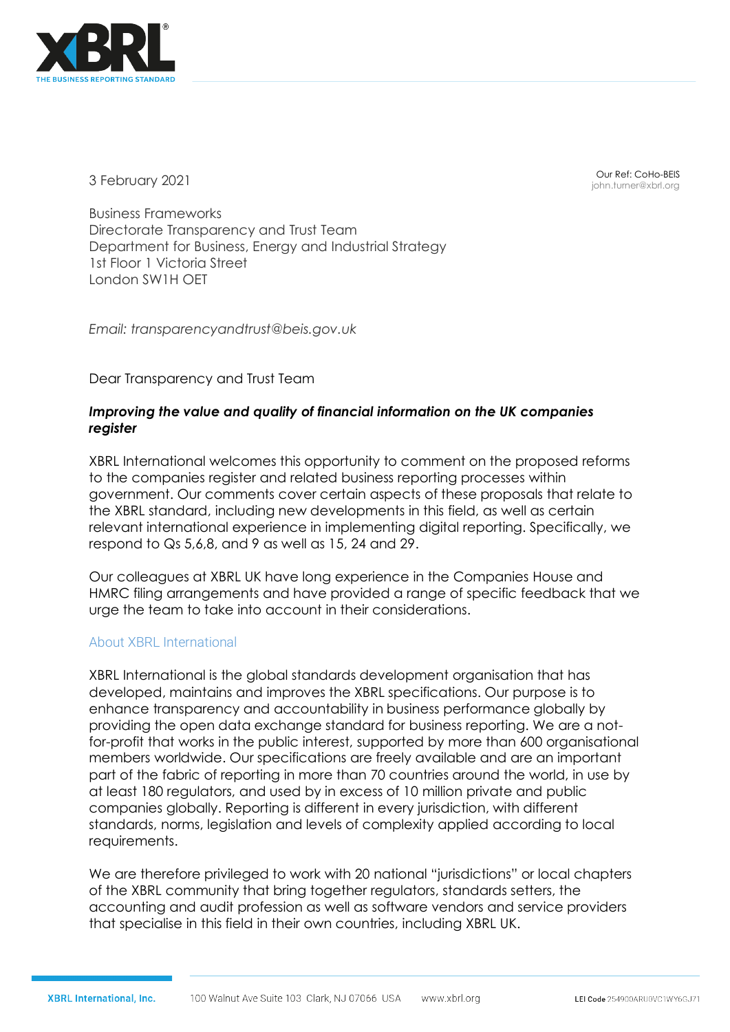

3 February 2021

Our Ref: CoHo-BEIS john.turner@xbrl.org

Business Frameworks Directorate Transparency and Trust Team Department for Business, Energy and Industrial Strategy 1st Floor 1 Victoria Street London SW1H OET

*Email: transparencyandtrust@beis.gov.uk* 

Dear Transparency and Trust Team

# *Improving the value and quality of financial information on the UK companies register*

XBRL International welcomes this opportunity to comment on the proposed reforms to the companies register and related business reporting processes within government. Our comments cover certain aspects of these proposals that relate to the XBRL standard, including new developments in this field, as well as certain relevant international experience in implementing digital reporting. Specifically, we respond to Qs 5,6,8, and 9 as well as 15, 24 and 29.

Our colleagues at XBRL UK have long experience in the Companies House and HMRC filing arrangements and have provided a range of specific feedback that we urge the team to take into account in their considerations.

# About XBRL International

XBRL International is the global standards development organisation that has developed, maintains and improves the XBRL specifications. Our purpose is to enhance transparency and accountability in business performance globally by providing the open data exchange standard for business reporting. We are a notfor-profit that works in the public interest, supported by more than 600 organisational members worldwide. Our specifications are freely available and are an important part of the fabric of reporting in more than 70 countries around the world, in use by at least 180 regulators, and used by in excess of 10 million private and public companies globally. Reporting is different in every jurisdiction, with different standards, norms, legislation and levels of complexity applied according to local requirements.

We are therefore privileged to work with 20 national "jurisdictions" or local chapters of the XBRL community that bring together regulators, standards setters, the accounting and audit profession as well as software vendors and service providers that specialise in this field in their own countries, including XBRL UK.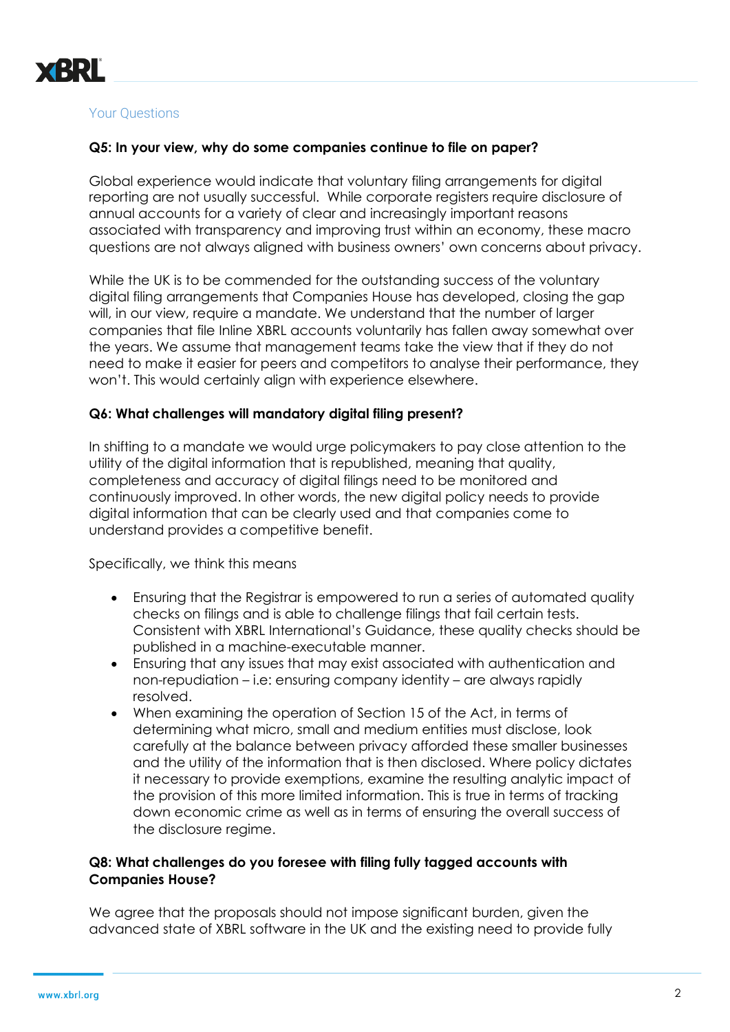

#### Your Questions

#### **Q5: In your view, why do some companies continue to file on paper?**

Global experience would indicate that voluntary filing arrangements for digital reporting are not usually successful. While corporate registers require disclosure of annual accounts for a variety of clear and increasingly important reasons associated with transparency and improving trust within an economy, these macro questions are not always aligned with business owners' own concerns about privacy.

While the UK is to be commended for the outstanding success of the voluntary digital filing arrangements that Companies House has developed, closing the gap will, in our view, require a mandate. We understand that the number of larger companies that file Inline XBRL accounts voluntarily has fallen away somewhat over the years. We assume that management teams take the view that if they do not need to make it easier for peers and competitors to analyse their performance, they won't. This would certainly align with experience elsewhere.

#### **Q6: What challenges will mandatory digital filing present?**

In shifting to a mandate we would urge policymakers to pay close attention to the utility of the digital information that is republished, meaning that quality, completeness and accuracy of digital filings need to be monitored and continuously improved. In other words, the new digital policy needs to provide digital information that can be clearly used and that companies come to understand provides a competitive benefit.

Specifically, we think this means

- Ensuring that the Registrar is empowered to run a series of automated quality checks on filings and is able to challenge filings that fail certain tests. Consistent with XBRL International's Guidance, these quality checks should be published in a machine-executable manner.
- Ensuring that any issues that may exist associated with authentication and non-repudiation – i.e: ensuring company identity – are always rapidly resolved.
- When examining the operation of Section 15 of the Act, in terms of determining what micro, small and medium entities must disclose, look carefully at the balance between privacy afforded these smaller businesses and the utility of the information that is then disclosed. Where policy dictates it necessary to provide exemptions, examine the resulting analytic impact of the provision of this more limited information. This is true in terms of tracking down economic crime as well as in terms of ensuring the overall success of the disclosure regime.

#### **Q8: What challenges do you foresee with filing fully tagged accounts with Companies House?**

We agree that the proposals should not impose significant burden, given the advanced state of XBRL software in the UK and the existing need to provide fully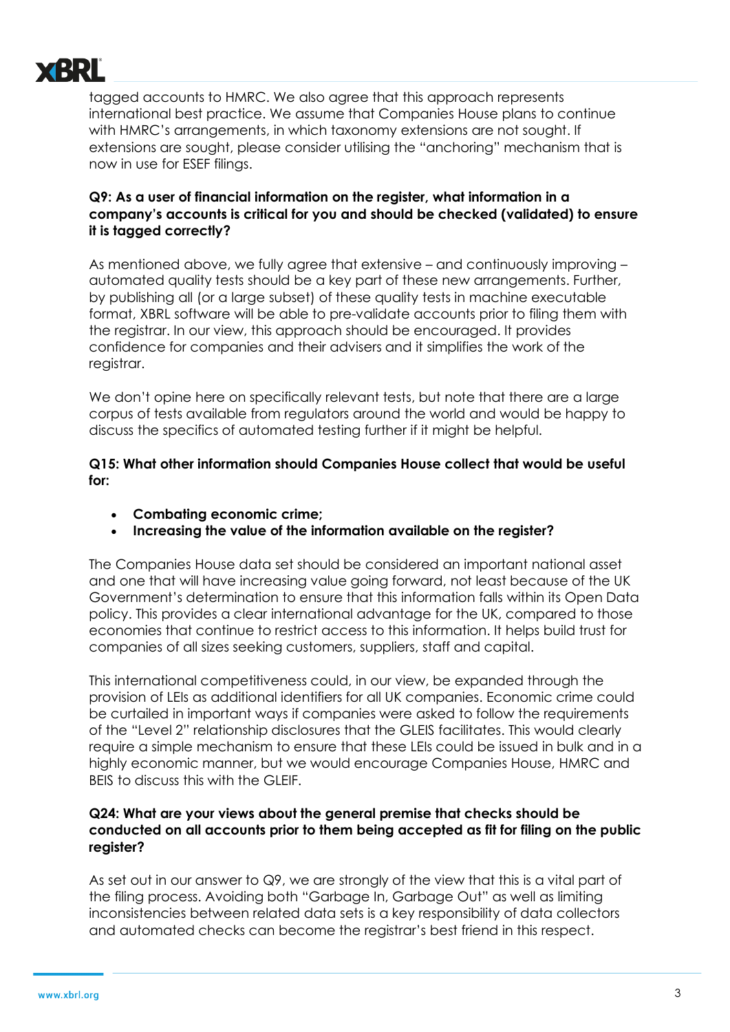

tagged accounts to HMRC. We also agree that this approach represents international best practice. We assume that Companies House plans to continue with HMRC's arrangements, in which taxonomy extensions are not sought. If extensions are sought, please consider utilising the "anchoring" mechanism that is now in use for ESEF filings.

# **Q9: As a user of financial information on the register, what information in a company's accounts is critical for you and should be checked (validated) to ensure it is tagged correctly?**

As mentioned above, we fully agree that extensive – and continuously improving – automated quality tests should be a key part of these new arrangements. Further, by publishing all (or a large subset) of these quality tests in machine executable format, XBRL software will be able to pre-validate accounts prior to filing them with the registrar. In our view, this approach should be encouraged. It provides confidence for companies and their advisers and it simplifies the work of the registrar.

We don't opine here on specifically relevant tests, but note that there are a large corpus of tests available from regulators around the world and would be happy to discuss the specifics of automated testing further if it might be helpful.

**Q15: What other information should Companies House collect that would be useful for:** 

- **Combating economic crime;**
- **Increasing the value of the information available on the register?**

The Companies House data set should be considered an important national asset and one that will have increasing value going forward, not least because of the UK Government's determination to ensure that this information falls within its Open Data policy. This provides a clear international advantage for the UK, compared to those economies that continue to restrict access to this information. It helps build trust for companies of all sizes seeking customers, suppliers, staff and capital.

This international competitiveness could, in our view, be expanded through the provision of LEIs as additional identifiers for all UK companies. Economic crime could be curtailed in important ways if companies were asked to follow the requirements of the "Level 2" relationship disclosures that the GLEIS facilitates. This would clearly require a simple mechanism to ensure that these LEIs could be issued in bulk and in a highly economic manner, but we would encourage Companies House, HMRC and BEIS to discuss this with the GLEIF.

### **Q24: What are your views about the general premise that checks should be conducted on all accounts prior to them being accepted as fit for filing on the public register?**

As set out in our answer to Q9, we are strongly of the view that this is a vital part of the filing process. Avoiding both "Garbage In, Garbage Out" as well as limiting inconsistencies between related data sets is a key responsibility of data collectors and automated checks can become the registrar's best friend in this respect.